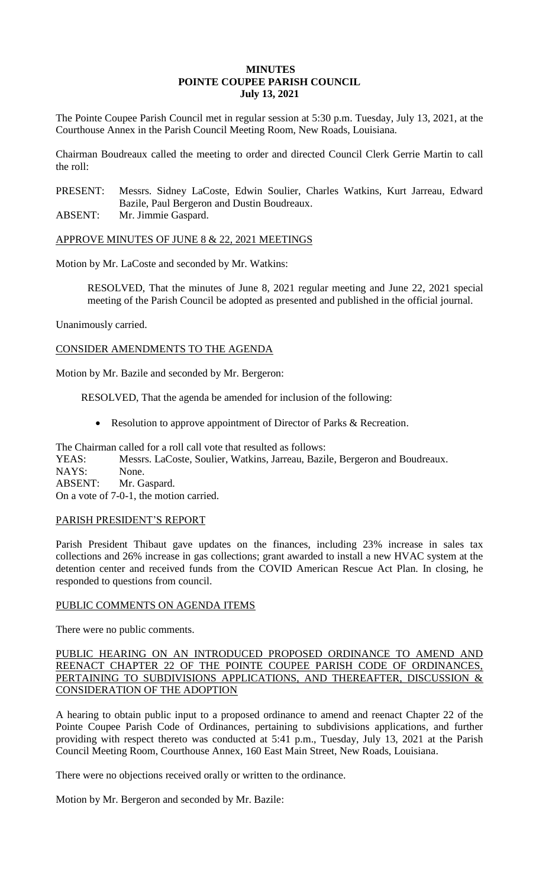# **MINUTES POINTE COUPEE PARISH COUNCIL July 13, 2021**

The Pointe Coupee Parish Council met in regular session at 5:30 p.m. Tuesday, July 13, 2021, at the Courthouse Annex in the Parish Council Meeting Room, New Roads, Louisiana.

Chairman Boudreaux called the meeting to order and directed Council Clerk Gerrie Martin to call the roll:

PRESENT: Messrs. Sidney LaCoste, Edwin Soulier, Charles Watkins, Kurt Jarreau, Edward Bazile, Paul Bergeron and Dustin Boudreaux.

ABSENT: Mr. Jimmie Gaspard.

APPROVE MINUTES OF JUNE 8 & 22, 2021 MEETINGS

Motion by Mr. LaCoste and seconded by Mr. Watkins:

RESOLVED, That the minutes of June 8, 2021 regular meeting and June 22, 2021 special meeting of the Parish Council be adopted as presented and published in the official journal.

Unanimously carried.

CONSIDER AMENDMENTS TO THE AGENDA

Motion by Mr. Bazile and seconded by Mr. Bergeron:

RESOLVED, That the agenda be amended for inclusion of the following:

• Resolution to approve appointment of Director of Parks & Recreation.

The Chairman called for a roll call vote that resulted as follows: YEAS: Messrs. LaCoste, Soulier, Watkins, Jarreau, Bazile, Bergeron and Boudreaux. NAYS: None. ABSENT: Mr. Gaspard. On a vote of 7-0-1, the motion carried.

# PARISH PRESIDENT'S REPORT

Parish President Thibaut gave updates on the finances, including 23% increase in sales tax collections and 26% increase in gas collections; grant awarded to install a new HVAC system at the detention center and received funds from the COVID American Rescue Act Plan. In closing, he responded to questions from council.

#### PUBLIC COMMENTS ON AGENDA ITEMS

There were no public comments.

# PUBLIC HEARING ON AN INTRODUCED PROPOSED ORDINANCE TO AMEND AND REENACT CHAPTER 22 OF THE POINTE COUPEE PARISH CODE OF ORDINANCES, PERTAINING TO SUBDIVISIONS APPLICATIONS, AND THEREAFTER, DISCUSSION & CONSIDERATION OF THE ADOPTION

A hearing to obtain public input to a proposed ordinance to amend and reenact Chapter 22 of the Pointe Coupee Parish Code of Ordinances, pertaining to subdivisions applications, and further providing with respect thereto was conducted at 5:41 p.m., Tuesday, July 13, 2021 at the Parish Council Meeting Room, Courthouse Annex, 160 East Main Street, New Roads, Louisiana.

There were no objections received orally or written to the ordinance.

Motion by Mr. Bergeron and seconded by Mr. Bazile: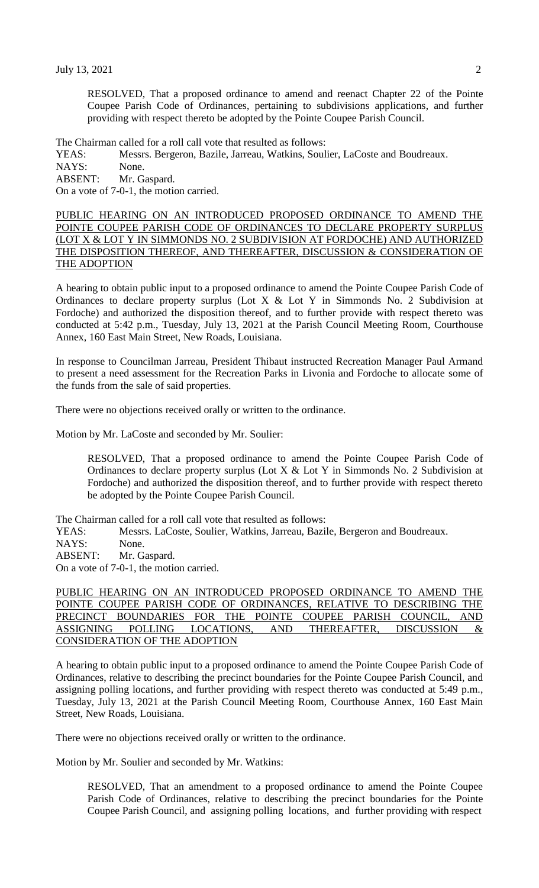RESOLVED, That a proposed ordinance to amend and reenact Chapter 22 of the Pointe Coupee Parish Code of Ordinances, pertaining to subdivisions applications, and further providing with respect thereto be adopted by the Pointe Coupee Parish Council.

The Chairman called for a roll call vote that resulted as follows:

YEAS: Messrs. Bergeron, Bazile, Jarreau, Watkins, Soulier, LaCoste and Boudreaux.

NAYS: None.

ABSENT: Mr. Gaspard.

On a vote of 7-0-1, the motion carried.

PUBLIC HEARING ON AN INTRODUCED PROPOSED ORDINANCE TO AMEND THE POINTE COUPEE PARISH CODE OF ORDINANCES TO DECLARE PROPERTY SURPLUS (LOT X & LOT Y IN SIMMONDS NO. 2 SUBDIVISION AT FORDOCHE) AND AUTHORIZED THE DISPOSITION THEREOF, AND THEREAFTER, DISCUSSION & CONSIDERATION OF THE ADOPTION

A hearing to obtain public input to a proposed ordinance to amend the Pointe Coupee Parish Code of Ordinances to declare property surplus (Lot X  $&$  Lot Y in Simmonds No. 2 Subdivision at Fordoche) and authorized the disposition thereof, and to further provide with respect thereto was conducted at 5:42 p.m., Tuesday, July 13, 2021 at the Parish Council Meeting Room, Courthouse Annex, 160 East Main Street, New Roads, Louisiana.

In response to Councilman Jarreau, President Thibaut instructed Recreation Manager Paul Armand to present a need assessment for the Recreation Parks in Livonia and Fordoche to allocate some of the funds from the sale of said properties.

There were no objections received orally or written to the ordinance.

Motion by Mr. LaCoste and seconded by Mr. Soulier:

RESOLVED, That a proposed ordinance to amend the Pointe Coupee Parish Code of Ordinances to declare property surplus (Lot  $X < X$  Lot Y in Simmonds No. 2 Subdivision at Fordoche) and authorized the disposition thereof, and to further provide with respect thereto be adopted by the Pointe Coupee Parish Council.

The Chairman called for a roll call vote that resulted as follows:

YEAS: Messrs. LaCoste, Soulier, Watkins, Jarreau, Bazile, Bergeron and Boudreaux.

NAYS: None.

ABSENT: Mr. Gaspard.

On a vote of 7-0-1, the motion carried.

PUBLIC HEARING ON AN INTRODUCED PROPOSED ORDINANCE TO AMEND THE POINTE COUPEE PARISH CODE OF ORDINANCES, RELATIVE TO DESCRIBING THE PRECINCT BOUNDARIES FOR THE POINTE COUPEE PARISH COUNCIL, AND ASSIGNING POLLING LOCATIONS, AND THEREAFTER, DISCUSSION CONSIDERATION OF THE ADOPTION

A hearing to obtain public input to a proposed ordinance to amend the Pointe Coupee Parish Code of Ordinances, relative to describing the precinct boundaries for the Pointe Coupee Parish Council, and assigning polling locations, and further providing with respect thereto was conducted at 5:49 p.m., Tuesday, July 13, 2021 at the Parish Council Meeting Room, Courthouse Annex, 160 East Main Street, New Roads, Louisiana.

There were no objections received orally or written to the ordinance.

Motion by Mr. Soulier and seconded by Mr. Watkins:

RESOLVED, That an amendment to a proposed ordinance to amend the Pointe Coupee Parish Code of Ordinances, relative to describing the precinct boundaries for the Pointe Coupee Parish Council, and assigning polling locations, and further providing with respect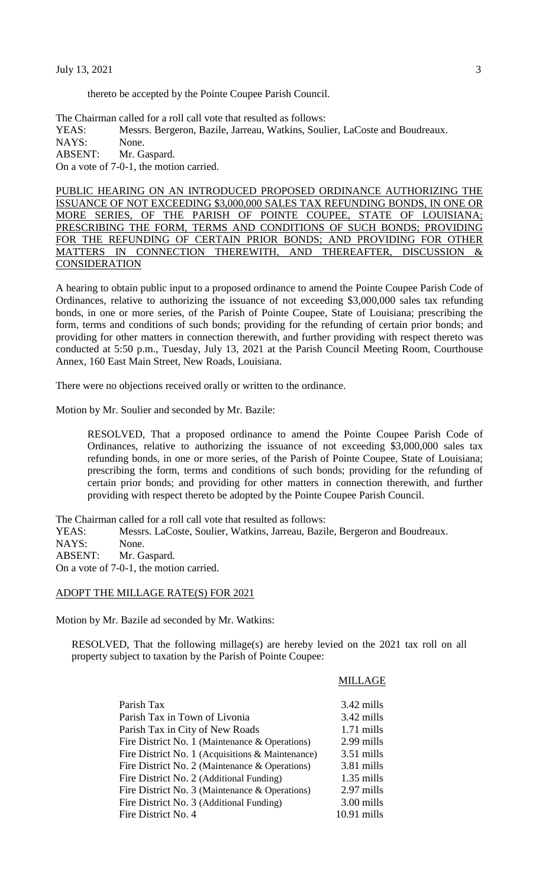thereto be accepted by the Pointe Coupee Parish Council.

The Chairman called for a roll call vote that resulted as follows: YEAS: Messrs. Bergeron, Bazile, Jarreau, Watkins, Soulier, LaCoste and Boudreaux. NAYS: None. ABSENT: Mr. Gaspard. On a vote of 7-0-1, the motion carried.

PUBLIC HEARING ON AN INTRODUCED PROPOSED ORDINANCE AUTHORIZING THE ISSUANCE OF NOT EXCEEDING \$3,000,000 SALES TAX REFUNDING BONDS, IN ONE OR MORE SERIES, OF THE PARISH OF POINTE COUPEE, STATE OF LOUISIANA; PRESCRIBING THE FORM, TERMS AND CONDITIONS OF SUCH BONDS; PROVIDING FOR THE REFUNDING OF CERTAIN PRIOR BONDS; AND PROVIDING FOR OTHER MATTERS IN CONNECTION THEREWITH, AND THEREAFTER, DISCUSSION & **CONSIDERATION** 

A hearing to obtain public input to a proposed ordinance to amend the Pointe Coupee Parish Code of Ordinances, relative to authorizing the issuance of not exceeding \$3,000,000 sales tax refunding bonds, in one or more series, of the Parish of Pointe Coupee, State of Louisiana; prescribing the form, terms and conditions of such bonds; providing for the refunding of certain prior bonds; and providing for other matters in connection therewith, and further providing with respect thereto was conducted at 5:50 p.m., Tuesday, July 13, 2021 at the Parish Council Meeting Room, Courthouse Annex, 160 East Main Street, New Roads, Louisiana.

There were no objections received orally or written to the ordinance.

Motion by Mr. Soulier and seconded by Mr. Bazile:

RESOLVED, That a proposed ordinance to amend the Pointe Coupee Parish Code of Ordinances, relative to authorizing the issuance of not exceeding \$3,000,000 sales tax refunding bonds, in one or more series, of the Parish of Pointe Coupee, State of Louisiana; prescribing the form, terms and conditions of such bonds; providing for the refunding of certain prior bonds; and providing for other matters in connection therewith, and further providing with respect thereto be adopted by the Pointe Coupee Parish Council.

The Chairman called for a roll call vote that resulted as follows:

YEAS: Messrs. LaCoste, Soulier, Watkins, Jarreau, Bazile, Bergeron and Boudreaux.

NAYS: None.

ABSENT: Mr. Gaspard.

On a vote of 7-0-1, the motion carried.

#### ADOPT THE MILLAGE RATE(S) FOR 2021

Motion by Mr. Bazile ad seconded by Mr. Watkins:

RESOLVED, That the following millage(s) are hereby levied on the 2021 tax roll on all property subject to taxation by the Parish of Pointe Coupee:

MILLAGE

| Parish Tax                                       | 3.42 mills    |
|--------------------------------------------------|---------------|
| Parish Tax in Town of Livonia                    | 3.42 mills    |
| Parish Tax in City of New Roads                  | $1.71$ mills  |
| Fire District No. 1 (Maintenance & Operations)   | 2.99 mills    |
| Fire District No. 1 (Acquisitions & Maintenance) | $3.51$ mills  |
| Fire District No. 2 (Maintenance & Operations)   | 3.81 mills    |
| Fire District No. 2 (Additional Funding)         | $1.35$ mills  |
| Fire District No. 3 (Maintenance & Operations)   | 2.97 mills    |
| Fire District No. 3 (Additional Funding)         | 3.00 mills    |
| Fire District No. 4                              | $10.91$ mills |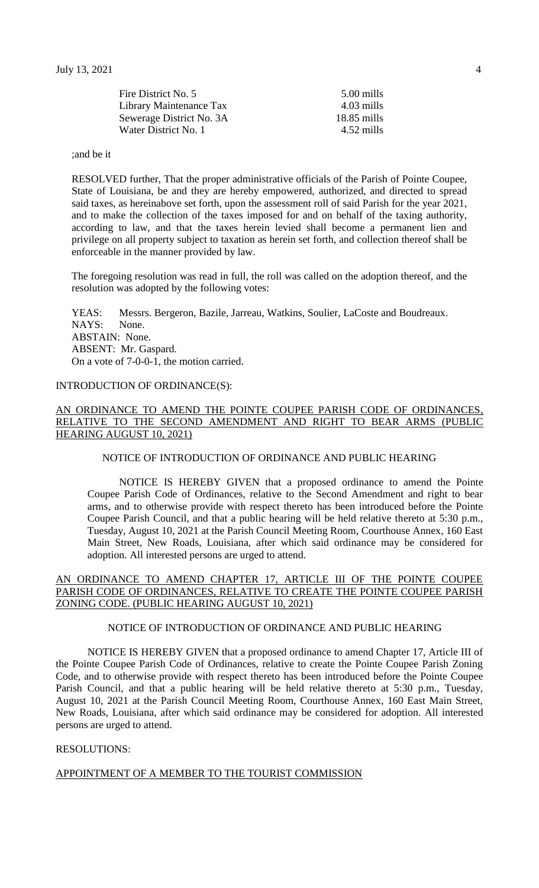| Fire District No. 5      | 5.00 mills    |
|--------------------------|---------------|
| Library Maintenance Tax  | 4.03 mills    |
| Sewerage District No. 3A | $18.85$ mills |
| Water District No. 1     | 4.52 mills    |
|                          |               |

;and be it

RESOLVED further, That the proper administrative officials of the Parish of Pointe Coupee, State of Louisiana, be and they are hereby empowered, authorized, and directed to spread said taxes, as hereinabove set forth, upon the assessment roll of said Parish for the year 2021, and to make the collection of the taxes imposed for and on behalf of the taxing authority, according to law, and that the taxes herein levied shall become a permanent lien and privilege on all property subject to taxation as herein set forth, and collection thereof shall be enforceable in the manner provided by law.

The foregoing resolution was read in full, the roll was called on the adoption thereof, and the resolution was adopted by the following votes:

YEAS: Messrs. Bergeron, Bazile, Jarreau, Watkins, Soulier, LaCoste and Boudreaux. NAYS: None. ABSTAIN: None. ABSENT: Mr. Gaspard. On a vote of 7-0-0-1, the motion carried.

# INTRODUCTION OF ORDINANCE(S):

### AN ORDINANCE TO AMEND THE POINTE COUPEE PARISH CODE OF ORDINANCES, RELATIVE TO THE SECOND AMENDMENT AND RIGHT TO BEAR ARMS (PUBLIC HEARING AUGUST 10, 2021)

#### NOTICE OF INTRODUCTION OF ORDINANCE AND PUBLIC HEARING

NOTICE IS HEREBY GIVEN that a proposed ordinance to amend the Pointe Coupee Parish Code of Ordinances, relative to the Second Amendment and right to bear arms, and to otherwise provide with respect thereto has been introduced before the Pointe Coupee Parish Council, and that a public hearing will be held relative thereto at 5:30 p.m., Tuesday, August 10, 2021 at the Parish Council Meeting Room, Courthouse Annex, 160 East Main Street, New Roads, Louisiana, after which said ordinance may be considered for adoption. All interested persons are urged to attend.

## AN ORDINANCE TO AMEND CHAPTER 17, ARTICLE III OF THE POINTE COUPEE PARISH CODE OF ORDINANCES, RELATIVE TO CREATE THE POINTE COUPEE PARISH ZONING CODE. (PUBLIC HEARING AUGUST 10, 2021)

## NOTICE OF INTRODUCTION OF ORDINANCE AND PUBLIC HEARING

NOTICE IS HEREBY GIVEN that a proposed ordinance to amend Chapter 17, Article III of the Pointe Coupee Parish Code of Ordinances, relative to create the Pointe Coupee Parish Zoning Code, and to otherwise provide with respect thereto has been introduced before the Pointe Coupee Parish Council, and that a public hearing will be held relative thereto at 5:30 p.m., Tuesday, August 10, 2021 at the Parish Council Meeting Room, Courthouse Annex, 160 East Main Street, New Roads, Louisiana, after which said ordinance may be considered for adoption. All interested persons are urged to attend.

### RESOLUTIONS:

## APPOINTMENT OF A MEMBER TO THE TOURIST COMMISSION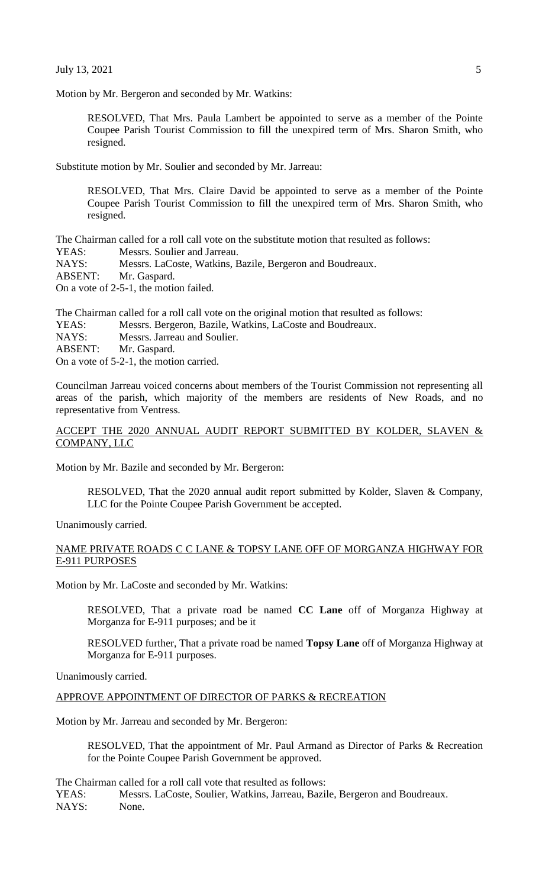Motion by Mr. Bergeron and seconded by Mr. Watkins:

RESOLVED, That Mrs. Paula Lambert be appointed to serve as a member of the Pointe Coupee Parish Tourist Commission to fill the unexpired term of Mrs. Sharon Smith, who resigned.

Substitute motion by Mr. Soulier and seconded by Mr. Jarreau:

RESOLVED, That Mrs. Claire David be appointed to serve as a member of the Pointe Coupee Parish Tourist Commission to fill the unexpired term of Mrs. Sharon Smith, who resigned.

The Chairman called for a roll call vote on the substitute motion that resulted as follows:

- YEAS: Messrs. Soulier and Jarreau.
- NAYS: Messrs. LaCoste, Watkins, Bazile, Bergeron and Boudreaux.

ABSENT: Mr. Gaspard.

On a vote of 2-5-1, the motion failed.

The Chairman called for a roll call vote on the original motion that resulted as follows:

- YEAS: Messrs. Bergeron, Bazile, Watkins, LaCoste and Boudreaux.
- NAYS: Messrs. Jarreau and Soulier.
- ABSENT: Mr. Gaspard.

On a vote of 5-2-1, the motion carried.

Councilman Jarreau voiced concerns about members of the Tourist Commission not representing all areas of the parish, which majority of the members are residents of New Roads, and no representative from Ventress.

## ACCEPT THE 2020 ANNUAL AUDIT REPORT SUBMITTED BY KOLDER, SLAVEN & COMPANY, LLC

Motion by Mr. Bazile and seconded by Mr. Bergeron:

RESOLVED, That the 2020 annual audit report submitted by Kolder, Slaven & Company, LLC for the Pointe Coupee Parish Government be accepted.

Unanimously carried.

## NAME PRIVATE ROADS C C LANE & TOPSY LANE OFF OF MORGANZA HIGHWAY FOR E-911 PURPOSES

Motion by Mr. LaCoste and seconded by Mr. Watkins:

RESOLVED, That a private road be named **CC Lane** off of Morganza Highway at Morganza for E-911 purposes; and be it

RESOLVED further, That a private road be named **Topsy Lane** off of Morganza Highway at Morganza for E-911 purposes.

Unanimously carried.

## APPROVE APPOINTMENT OF DIRECTOR OF PARKS & RECREATION

Motion by Mr. Jarreau and seconded by Mr. Bergeron:

RESOLVED, That the appointment of Mr. Paul Armand as Director of Parks & Recreation for the Pointe Coupee Parish Government be approved.

The Chairman called for a roll call vote that resulted as follows:

YEAS: Messrs. LaCoste, Soulier, Watkins, Jarreau, Bazile, Bergeron and Boudreaux. NAYS: None.